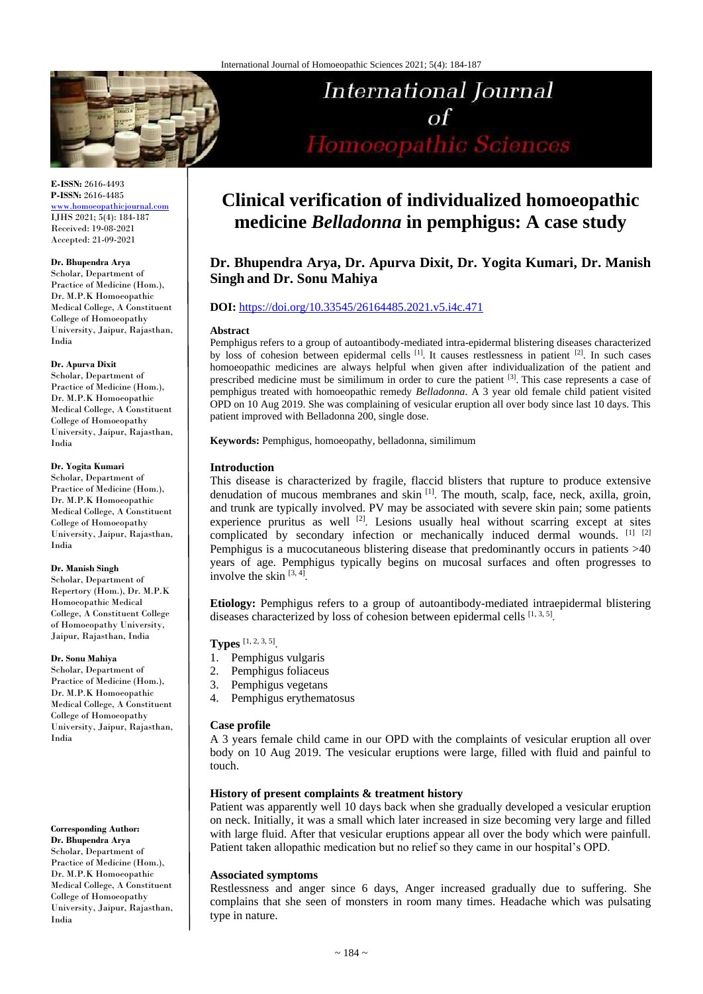

**E-ISSN:** 2616-4493 **P-ISSN:** 2616-4485 [www.homoeopathicjournal.com](file://Server/test/homoeopathicjournal/issue/vol%204/issue%201/www.homoeopathicjournal.com)

IJHS 2021; 5(4): 184-187 Received: 19-08-2021 Accepted: 21-09-2021

#### **Dr. Bhupendra Arya**

Scholar, Department of Practice of Medicine (Hom.), Dr. M.P.K Homoeopathic Medical College, A Constituent College of Homoeopathy University, Jaipur, Rajasthan, India

#### **Dr. Apurva Dixit**

Scholar, Department of Practice of Medicine (Hom.), Dr. M.P.K Homoeopathic Medical College, A Constituent College of Homoeopathy University, Jaipur, Rajasthan, India

#### **Dr. Yogita Kumari**

Scholar, Department of Practice of Medicine (Hom.), Dr. M.P.K Homoeopathic Medical College, A Constituent College of Homoeopathy University, Jaipur, Rajasthan, India

#### **Dr. Manish Singh**

Scholar, Department of Repertory (Hom.), Dr. M.P.K Homoeopathic Medical College, A Constituent College of Homoeopathy University, Jaipur, Rajasthan, India

### **Dr. Sonu Mahiya**

Scholar, Department of Practice of Medicine (Hom.), Dr. M.P.K Homoeopathic Medical College, A Constituent College of Homoeopathy University, Jaipur, Rajasthan, India

## **Corresponding Author:**

**Dr. Bhupendra Arya** Scholar, Department of Practice of Medicine (Hom.), Dr. M.P.K Homoeopathic Medical College, A Constituent College of Homoeopathy University, Jaipur, Rajasthan, India

# **Clinical verification of individualized homoeopathic medicine** *Belladonna* **in pemphigus: A case study**

**International Journal** 

Homoeopathic Sciences

 $\sigma$ f

# **Dr. Bhupendra Arya, Dr. Apurva Dixit, Dr. Yogita Kumari, Dr. Manish Singh and Dr. Sonu Mahiya**

# **DOI:** <https://doi.org/10.33545/26164485.2021.v5.i4c.471>

#### **Abstract**

Pemphigus refers to a group of autoantibody-mediated intra-epidermal blistering diseases characterized by loss of cohesion between epidermal cells  $[1]$ . It causes restlessness in patient  $[2]$ . In such cases homoeopathic medicines are always helpful when given after individualization of the patient and prescribed medicine must be similimum in order to cure the patient <sup>[3]</sup>. This case represents a case of pemphigus treated with homoeopathic remedy *Belladonna*. A 3 year old female child patient visited OPD on 10 Aug 2019. She was complaining of vesicular eruption all over body since last 10 days. This patient improved with Belladonna 200, single dose.

**Keywords:** Pemphigus, homoeopathy, belladonna, similimum

## **Introduction**

This disease is characterized by fragile, flaccid blisters that rupture to produce extensive denudation of mucous membranes and skin <sup>[1]</sup>. The mouth, scalp, face, neck, axilla, groin, and trunk are typically involved. PV may be associated with severe skin pain; some patients experience pruritus as well  $^{[2]}$ . Lesions usually heal without scarring except at sites complicated by secondary infection or mechanically induced dermal wounds. [1] [2] Pemphigus is a mucocutaneous blistering disease that predominantly occurs in patients >40 years of age. Pemphigus typically begins on mucosal surfaces and often progresses to involve the skin  $[3, 4]$ .

**Etiology:** Pemphigus refers to a group of autoantibody-mediated intraepidermal blistering diseases characterized by loss of cohesion between epidermal cells  $[1, 3, 5]$ .

# **Types** [1, 2, 3, 5] .

- 1. Pemphigus vulgaris
- 2. Pemphigus foliaceus
- 3. Pemphigus vegetans
- 4. Pemphigus erythematosus

### **Case profile**

A 3 years female child came in our OPD with the complaints of vesicular eruption all over body on 10 Aug 2019. The vesicular eruptions were large, filled with fluid and painful to touch.

## **History of present complaints & treatment history**

Patient was apparently well 10 days back when she gradually developed a vesicular eruption on neck. Initially, it was a small which later increased in size becoming very large and filled with large fluid. After that vesicular eruptions appear all over the body which were painfull. Patient taken allopathic medication but no relief so they came in our hospital's OPD.

### **Associated symptoms**

Restlessness and anger since 6 days, Anger increased gradually due to suffering. She complains that she seen of monsters in room many times. Headache which was pulsating type in nature.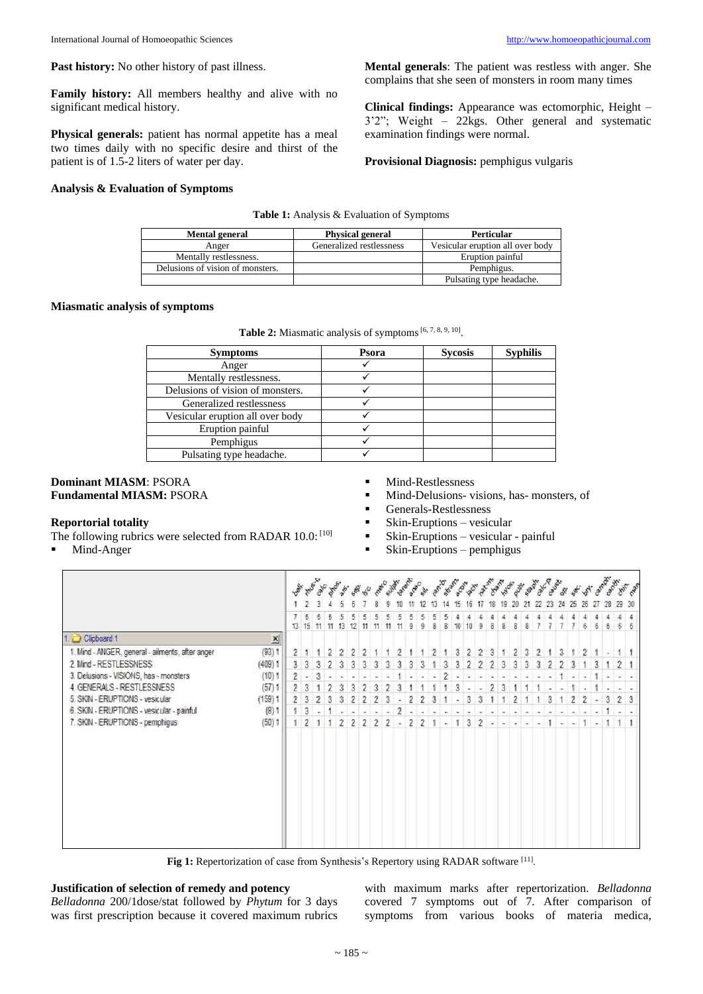**Family history:** All members healthy and alive with no significant medical history.

**Physical generals:** patient has normal appetite has a meal two times daily with no specific desire and thirst of the patient is of 1.5-2 liters of water per day.

## **Analysis & Evaluation of Symptoms**

**Mental generals**: The patient was restless with anger. She complains that she seen of monsters in room many times

**Clinical findings:** Appearance was ectomorphic, Height – 3'2"; Weight – 22kgs. Other general and systematic examination findings were normal.

**Provisional Diagnosis:** pemphigus vulgaris

**Table 1:** Analysis & Evaluation of Symptoms

| Mental general                   | <b>Physical general</b>  | <b>Perticular</b>                |
|----------------------------------|--------------------------|----------------------------------|
| Anger                            | Generalized restlessness | Vesicular eruption all over body |
| Mentally restlessness.           |                          | Eruption painful                 |
| Delusions of vision of monsters. |                          | Pemphigus.                       |
|                                  |                          | Pulsating type headache.         |

### **Miasmatic analysis of symptoms**

| <b>Symptoms</b>                  | Psora | <b>Sycosis</b> | <b>Syphilis</b> |
|----------------------------------|-------|----------------|-----------------|
| Anger                            |       |                |                 |
| Mentally restlessness.           |       |                |                 |
| Delusions of vision of monsters. |       |                |                 |
| Generalized restlessness         |       |                |                 |
| Vesicular eruption all over body |       |                |                 |
| Eruption painful                 |       |                |                 |
| Pemphigus                        |       |                |                 |
| Pulsating type headache.         |       |                |                 |

## **Dominant MIASM**: PSORA **Fundamental MIASM:** PSORA

## **Reportorial totality**

- The following rubrics were selected from RADAR 10.0: [10]
- Mind-Anger
- **Mind-Restlessness**
- Mind-Delusions- visions, has- monsters, of
- Generals-Restlessness
- $\blacksquare$  Skin-Eruptions vesicular
- $\blacksquare$  Skin-Eruptions vesicular painful
- $\blacksquare$  Skin-Eruptions pemphigus



Fig 1: Repertorization of case from Synthesis's Repertory using RADAR software [11].

## **Justification of selection of remedy and potency**

*Belladonna* 200/1dose/stat followed by *Phytum* for 3 days was first prescription because it covered maximum rubrics

with maximum marks after repertorization. *Belladonna* covered 7 symptoms out of 7. After comparison of symptoms from various books of materia medica,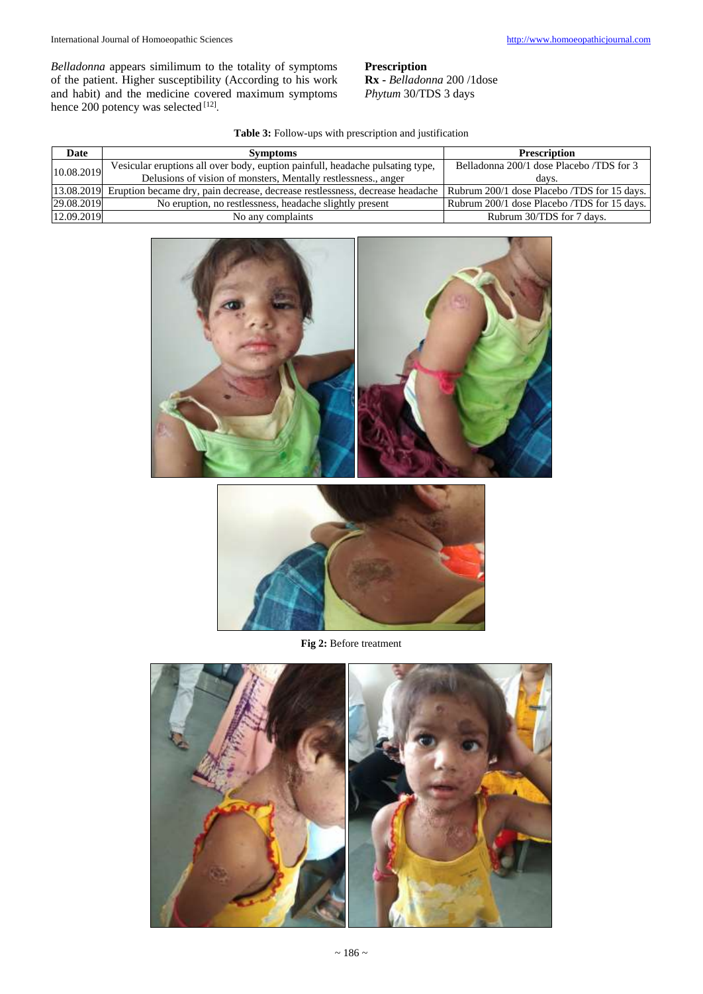*Belladonna* appears similimum to the totality of symptoms of the patient. Higher susceptibility (According to his work and habit) and the medicine covered maximum symptoms hence 200 potency was selected [12].

**Prescription Rx -** *Belladonna* 200 /1dose *Phytum* 30/TDS 3 days

# **Table 3:** Follow-ups with prescription and justification

| Date       | <b>Symptoms</b>                                                                                                                         | <b>Prescription</b>                         |
|------------|-----------------------------------------------------------------------------------------------------------------------------------------|---------------------------------------------|
| 10.08.2019 | Vesicular eruptions all over body, euption painfull, headache pulsating type,                                                           | Belladonna 200/1 dose Placebo /TDS for 3    |
|            | Delusions of vision of monsters, Mentally restlessness., anger                                                                          | days.                                       |
|            | [13.08.2019] Eruption became dry, pain decrease, decrease restlessness, decrease headache   Rubrum 200/1 dose Placebo /TDS for 15 days. |                                             |
| 29.08.2019 | No eruption, no restlessness, headache slightly present                                                                                 | Rubrum 200/1 dose Placebo /TDS for 15 days. |
| 12.09.2019 | No any complaints                                                                                                                       | Rubrum 30/TDS for 7 days.                   |





**Fig 2:** Before treatment